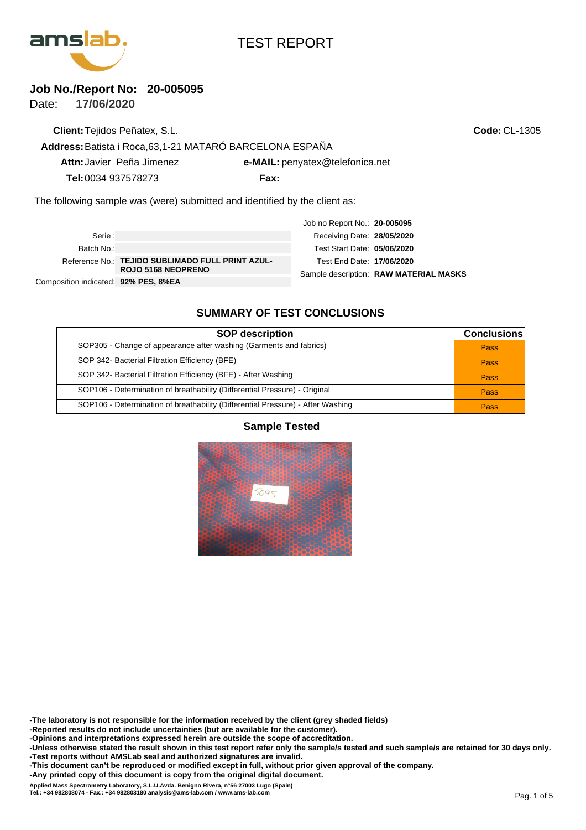

# TEST REPORT

### **Job No./Report No: 20-005095**

**17/06/2020** Date:

**Client:**Tejidos Peñatex, S.L. **Attn:**Javier Peña Jimenez **Tel:**0034 937578273 **Fax: Address:**Batista i Roca,63,1-21 MATARÓ BARCELONA ESPAÑA **e-MAIL:**penyatex@telefonica.net **Code:** CL-1305 The following sample was (were) submitted and identified by the client as:

Composition indicated: **92% PES, 8%EA** Reference No.: TEJIDO SUBLIMADO FULL PRINT AZUL-**ROJO 5168 NEOPRENO** Batch No.: Serie : Sample description: RAW MATERIAL MASKS Job no Report No.: **20-005095** Test Start Date: **05/06/2020** Test End Date: **17/06/2020 28/05/2020** Receiving Date:

# **SUMMARY OF TEST CONCLUSIONS**

| <b>SOP description</b>                                                          | <b>Conclusions</b> |
|---------------------------------------------------------------------------------|--------------------|
| SOP305 - Change of appearance after washing (Garments and fabrics)              | Pass               |
| SOP 342- Bacterial Filtration Efficiency (BFE)                                  | Pass               |
| SOP 342- Bacterial Filtration Efficiency (BFE) - After Washing                  | Pass               |
| SOP106 - Determination of breathability (Differential Pressure) - Original      | Pass               |
| SOP106 - Determination of breathability (Differential Pressure) - After Washing | Pass               |

#### **Sample Tested**



**-The laboratory is not responsible for the information received by the client (grey shaded fields)**

**-Reported results do not include uncertainties (but are available for the customer).**

**-Opinions and interpretations expressed herein are outside the scope of accreditation.**

**-Unless otherwise stated the result shown in this test report refer only the sample/s tested and such sample/s are retained for 30 days only. -Test reports without AMSLab seal and authorized signatures are invalid.**

**-This document can't be reproduced or modified except in full, without prior given approval of the company.**

**-Any printed copy of this document is copy from the original digital document.**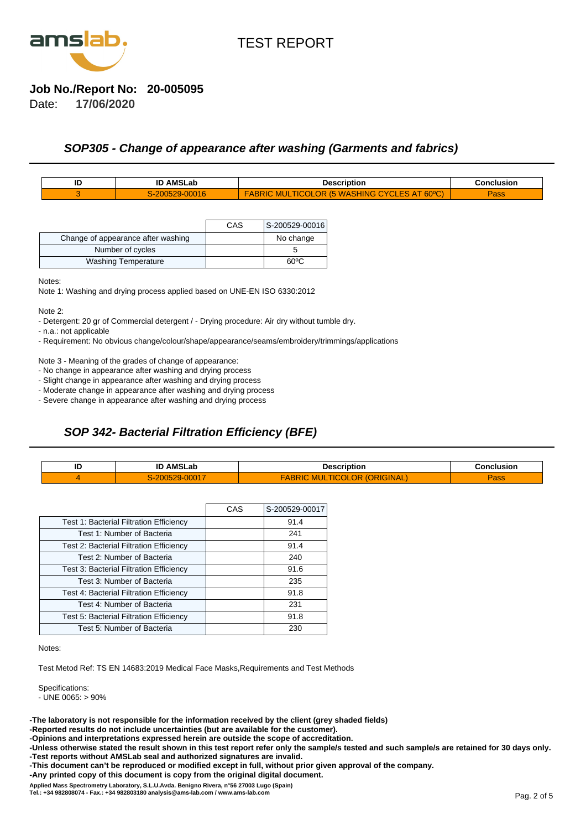

#### **Job No./Report No: 20-005095**

**17/06/2020** Date:

#### **SOP305 - Change of appearance after washing (Garments and fabrics)**

| טו | <b>AMSLab</b> | Descrir<br>-----                                     | usion<br>≧oneli       |
|----|---------------|------------------------------------------------------|-----------------------|
|    | 10            | <b>SOON</b><br>-<br><b>AUV</b><br>$\sim$<br>الالتسام | <b>TO ALL</b><br>้สวว |

|                                    | CAS | S-200529-00016 |
|------------------------------------|-----|----------------|
| Change of appearance after washing |     | No change      |
| Number of cycles                   |     |                |
| <b>Washing Temperature</b>         |     | ഩൟ             |

Notes:

Note 1: Washing and drying process applied based on UNE-EN ISO 6330:2012

Note 2:

- Detergent: 20 gr of Commercial detergent / - Drying procedure: Air dry without tumble dry.

- n.a.: not applicable

- Requirement: No obvious change/colour/shape/appearance/seams/embroidery/trimmings/applications

Note 3 - Meaning of the grades of change of appearance:

- No change in appearance after washing and drying process

- Slight change in appearance after washing and drying process

- Moderate change in appearance after washing and drying process

- Severe change in appearance after washing and drying process

## **SOP 342- Bacterial Filtration Efficiency (BFE)**

| ID | <b>AMSLab</b><br>ID | Nescrintion           | Conclusion         |
|----|---------------------|-----------------------|--------------------|
|    | . .                 | и<br>лг<br><b>YAL</b> | <b>TOM</b><br>้สวว |

|                                                | CAS | S-200529-00017 |
|------------------------------------------------|-----|----------------|
| Test 1: Bacterial Filtration Efficiency        |     | 91.4           |
| Test 1: Number of Bacteria                     |     | 241            |
| Test 2: Bacterial Filtration Efficiency        |     | 91.4           |
| Test 2: Number of Bacteria                     |     | 240            |
| <b>Test 3: Bacterial Filtration Efficiency</b> |     | 91.6           |
| Test 3: Number of Bacteria                     |     | 235            |
| <b>Test 4: Bacterial Filtration Efficiency</b> |     | 91.8           |
| Test 4: Number of Bacteria                     |     | 231            |
| <b>Test 5: Bacterial Filtration Efficiency</b> |     | 91.8           |
| Test 5: Number of Bacteria                     |     | 230            |

Notes:

Test Metod Ref: TS EN 14683:2019 Medical Face Masks,Requirements and Test Methods

Specifications:

 $-$  UNE 0065:  $> 90\%$ 

**-The laboratory is not responsible for the information received by the client (grey shaded fields)**

**-Reported results do not include uncertainties (but are available for the customer).**

**-Opinions and interpretations expressed herein are outside the scope of accreditation.**

**-Unless otherwise stated the result shown in this test report refer only the sample/s tested and such sample/s are retained for 30 days only. -Test reports without AMSLab seal and authorized signatures are invalid.**

**-This document can't be reproduced or modified except in full, without prior given approval of the company.**

**-Any printed copy of this document is copy from the original digital document.**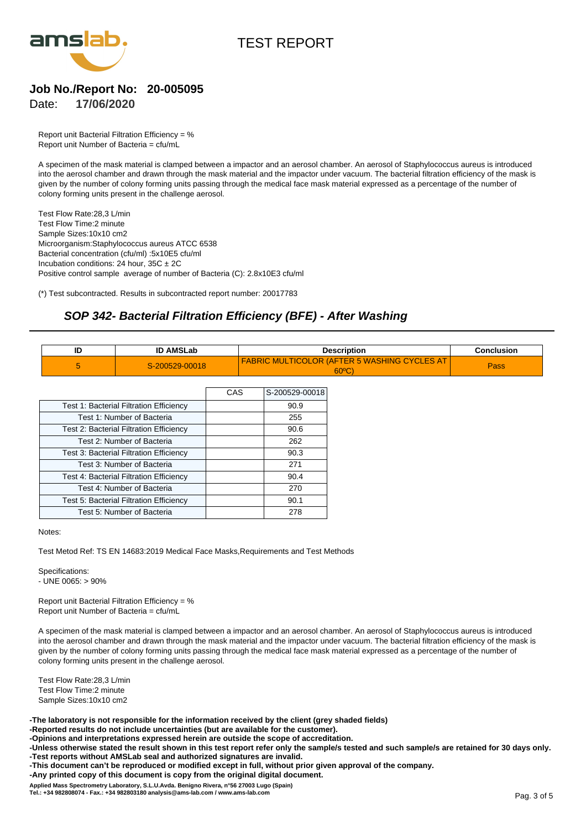



# **Job No./Report No: 20-005095**

**17/06/2020** Date:

Report unit Bacterial Filtration Efficiency = % Report unit Number of Bacteria = cfu/mL

A specimen of the mask material is clamped between a impactor and an aerosol chamber. An aerosol of Staphylococcus aureus is introduced into the aerosol chamber and drawn through the mask material and the impactor under vacuum. The bacterial filtration efficiency of the mask is given by the number of colony forming units passing through the medical face mask material expressed as a percentage of the number of colony forming units present in the challenge aerosol.

Test Flow Rate:28,3 L/min Test Flow Time:2 minute Sample Sizes:10x10 cm2 Microorganism:Staphylococcus aureus ATCC 6538 Bacterial concentration (cfu/ml) :5x10E5 cfu/ml Incubation conditions:  $24$  hour,  $35C \pm 2C$ Positive control sample average of number of Bacteria (C): 2.8x10E3 cfu/ml

(\*) Test subcontracted. Results in subcontracted report number: 20017783

# **SOP 342- Bacterial Filtration Efficiency (BFE) - After Washing**

| יי AMSLab      | Description                                    | <b>Conclusion</b> |
|----------------|------------------------------------------------|-------------------|
| S-200529-00018 | FABRIC MULTICOLOR (AFTER 5 WASHING CYCLES AT I | Pass              |
|                | $60^{\circ}$ C                                 |                   |

|                                                | CAS | S-200529-00018 |
|------------------------------------------------|-----|----------------|
| Test 1: Bacterial Filtration Efficiency        |     | 90.9           |
| Test 1: Number of Bacteria                     |     | 255            |
| Test 2: Bacterial Filtration Efficiency        |     | 90.6           |
| Test 2: Number of Bacteria                     |     | 262            |
| Test 3: Bacterial Filtration Efficiency        |     | 90.3           |
| Test 3: Number of Bacteria                     |     | 271            |
| <b>Test 4: Bacterial Filtration Efficiency</b> |     | 90.4           |
| Test 4: Number of Bacteria                     |     | 270            |
| Test 5: Bacterial Filtration Efficiency        |     | 90.1           |
| Test 5: Number of Bacteria                     |     | 278            |

Notes:

Test Metod Ref: TS EN 14683:2019 Medical Face Masks,Requirements and Test Methods

Specifications:  $-$  UNE 0065:  $> 90\%$ 

Report unit Bacterial Filtration Efficiency = % Report unit Number of Bacteria = cfu/mL

A specimen of the mask material is clamped between a impactor and an aerosol chamber. An aerosol of Staphylococcus aureus is introduced into the aerosol chamber and drawn through the mask material and the impactor under vacuum. The bacterial filtration efficiency of the mask is given by the number of colony forming units passing through the medical face mask material expressed as a percentage of the number of colony forming units present in the challenge aerosol.

Test Flow Rate:28,3 L/min Test Flow Time:2 minute Sample Sizes:10x10 cm2

**-The laboratory is not responsible for the information received by the client (grey shaded fields)**

**-Reported results do not include uncertainties (but are available for the customer).**

**-Opinions and interpretations expressed herein are outside the scope of accreditation.**

**-Unless otherwise stated the result shown in this test report refer only the sample/s tested and such sample/s are retained for 30 days only. -Test reports without AMSLab seal and authorized signatures are invalid.**

**-This document can't be reproduced or modified except in full, without prior given approval of the company.**

**-Any printed copy of this document is copy from the original digital document.**

Applied Mass Spectrometry Laboratory, S.L.U.Avda. Benigno Rivera, n°56 27003 Lugo (Spain)<br>Tel.: +34 982808074 - Fax.: +34 982803180 analysis@ams-lab.com / www.ams-lab.com<br>Pag. 3 of 5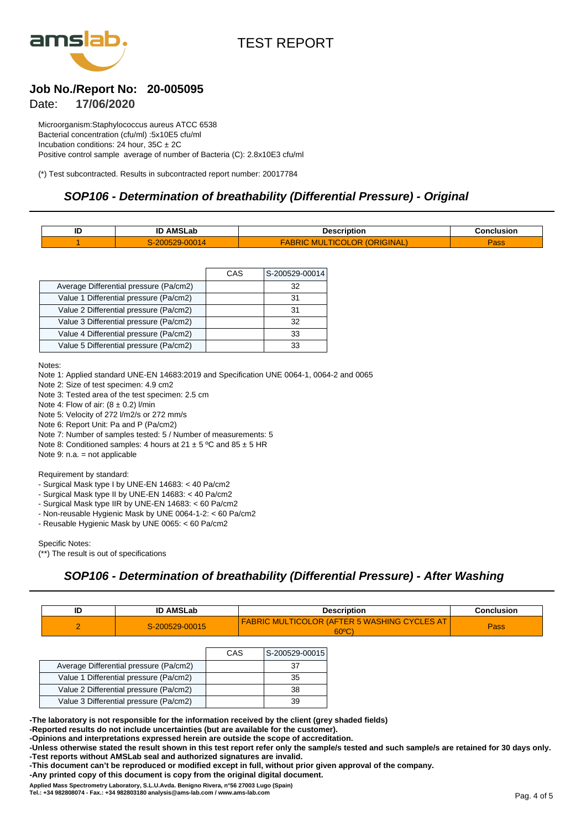

# **Job No./Report No: 20-005095**

**17/06/2020** Date:

Microorganism:Staphylococcus aureus ATCC 6538 Bacterial concentration (cfu/ml) :5x10E5 cfu/ml Incubation conditions:  $24$  hour,  $35C \pm 2C$ Positive control sample average of number of Bacteria (C): 2.8x10E3 cfu/ml

(\*) Test subcontracted. Results in subcontracted report number: 20017784

#### **SOP106 - Determination of breathability (Differential Pressure) - Original**

| 1м | <b>AMSLab</b><br>שו      | Description                         | Conclusion   |
|----|--------------------------|-------------------------------------|--------------|
|    | $\overline{\phantom{a}}$ | ١R<br>AC<br><b><i>NAL</i></b><br>ЛV | <b>Rd</b> aa |

|                                        | CAS | S-200529-00014 |
|----------------------------------------|-----|----------------|
| Average Differential pressure (Pa/cm2) |     | 32             |
| Value 1 Differential pressure (Pa/cm2) |     | 31             |
| Value 2 Differential pressure (Pa/cm2) |     | 31             |
| Value 3 Differential pressure (Pa/cm2) |     | 32             |
| Value 4 Differential pressure (Pa/cm2) |     | 33             |
| Value 5 Differential pressure (Pa/cm2) |     | 33             |

Notes:

Note 1: Applied standard UNE-EN 14683:2019 and Specification UNE 0064-1, 0064-2 and 0065

Note 2: Size of test specimen: 4.9 cm2

Note 3: Tested area of the test specimen: 2.5 cm

Note 4: Flow of air:  $(8 \pm 0.2)$  l/min

Note 5: Velocity of 272 l/m2/s or 272 mm/s

Note 6: Report Unit: Pa and P (Pa/cm2)

Note 7: Number of samples tested: 5 / Number of measurements: 5

Note 8: Conditioned samples: 4 hours at  $21 \pm 5$  °C and  $85 \pm 5$  HR

Note 9: n.a. = not applicable

#### Requirement by standard:

- Surgical Mask type I by UNE-EN 14683: < 40 Pa/cm2

- Surgical Mask type II by UNE-EN 14683: < 40 Pa/cm2

- Surgical Mask type IIR by UNE-EN 14683: < 60 Pa/cm2

- Non-reusable Hygienic Mask by UNE 0064-1-2: < 60 Pa/cm2
- Reusable Hygienic Mask by UNE 0065: < 60 Pa/cm2

Specific Notes:

(\*\*) The result is out of specifications

## **SOP106 - Determination of breathability (Differential Pressure) - After Washing**

|  | <b>ID AMSLab</b> | <b>Description</b>                                              | Conclusion |
|--|------------------|-----------------------------------------------------------------|------------|
|  | S-200529-00015   | MULTICOLOR (AFTER 5 WASHING CYCLES AT<br><b>FABRIC</b><br>60°C) | Pass       |

|                                        | CAS | S-200529-00015 |
|----------------------------------------|-----|----------------|
| Average Differential pressure (Pa/cm2) |     | 37             |
| Value 1 Differential pressure (Pa/cm2) |     | 35             |
| Value 2 Differential pressure (Pa/cm2) |     | 38             |
| Value 3 Differential pressure (Pa/cm2) |     | 39             |

**-The laboratory is not responsible for the information received by the client (grey shaded fields)**

**-Reported results do not include uncertainties (but are available for the customer).**

**-Opinions and interpretations expressed herein are outside the scope of accreditation.**

**-Unless otherwise stated the result shown in this test report refer only the sample/s tested and such sample/s are retained for 30 days only. -Test reports without AMSLab seal and authorized signatures are invalid.**

**-This document can't be reproduced or modified except in full, without prior given approval of the company.**

**-Any printed copy of this document is copy from the original digital document.**

Applied Mass Spectrometry Laboratory, S.L.U.Avda. Benigno Rivera, n°56 27003 Lugo (Spain)<br>Tel.: +34 982808074 - Fax.: +34 982803180 analysis@ams-lab.com / www.ams-lab.com<br>Pag. 4 of 5